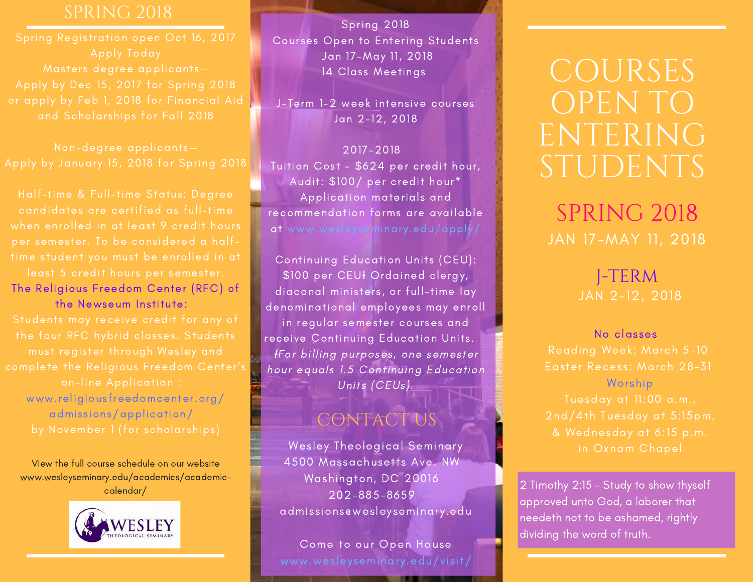candidates are certified as full-time when enrolled in at least 9 credit hours

The Religious Freedom Center (RFC) of the Newseum Institute:

[www.religiousfreedomcenter.org/](http://www.religiousfreedomcenter.org/admissions/application/) admissions/application/

View the full course schedule on our website [www.wesleyseminary.edu/academics/academic](https://www.wesleyseminary.edu/wp-content/uploads/2015/10/J-Term-Spring-2018-Final-10.2.17.pdf)calendar/



Spring 2018 Courses Open to Entering Students Jan 17-May 11, 2018 14 Class Meetings

J-Term 1-2 week intensive courses Jan 2-12, 2018

### 2017-2018

Tuition Cost - \$624 per credit hour, Audit: \$100/ per credit hour\* Application materials and recommendation forms are available at www.wesleyseminary.edu/apply/

Continuing Education Units (CEU): \$100 per CEUł Ordained clergy, diaconal ministers, or full-time lay denominational employees may enroll in regular semester courses and receive Continuing Education Units. ƗFor billing purposes, one semester hour equals 1.5 Continuing Education Units (CEUs).

## CONTACT US

Wesley Theological Seminary 4500 Massachusetts Ave. NW Washington, DC 20016 202-885-8659 admissions@wesleyseminary.edu

Come to our Open House www.wesleyseminary.edu/visit/

# COURSES OPEN TO ENTERING STUDENTS

JAN 17-MAY 11, 2018 SPRING 2018

## J-TERM JAN 2-12, 2018

No classes Worship

2 Timothy 2:15 - Study to show thyself approved unto God, a laborer that needeth not to be ashamed, rightly dividing the word of truth.